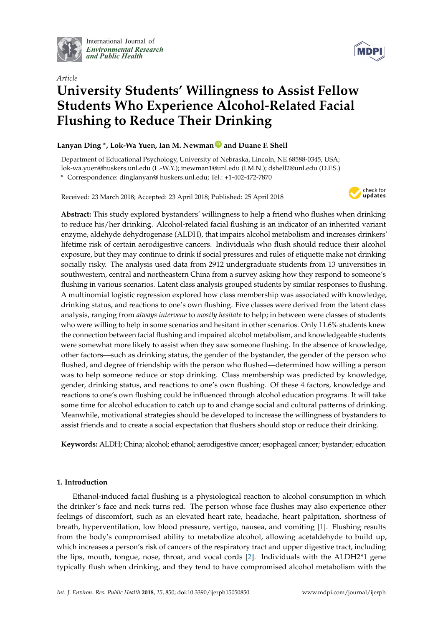

International Journal of *[Environmental Research](http://www.mdpi.com/journal/ijerph) and Public Health*



# *Article* **University Students' Willingness to Assist Fellow Students Who Experience Alcohol-Related Facial Flushing to Reduce Their Drinking**

# Lanyan Ding<sup>\*</sup>, Lok-Wa Yuen, Ian M. Newman<sup>1</sup> and Duane F. Shell

Department of Educational Psychology, University of Nebraska, Lincoln, NE 68588-0345, USA; lok-wa.yuen@huskers.unl.edu (L.-W.Y.); inewman1@unl.edu (I.M.N.); dshell2@unl.edu (D.F.S.) **\*** Correspondence: dinglanyan@ huskers.unl.edu; Tel.: +1-402-472-7870

Received: 23 March 2018; Accepted: 23 April 2018; Published: 25 April 2018



**Abstract:** This study explored bystanders' willingness to help a friend who flushes when drinking to reduce his/her drinking. Alcohol-related facial flushing is an indicator of an inherited variant enzyme, aldehyde dehydrogenase (ALDH), that impairs alcohol metabolism and increases drinkers' lifetime risk of certain aerodigestive cancers. Individuals who flush should reduce their alcohol exposure, but they may continue to drink if social pressures and rules of etiquette make not drinking socially risky. The analysis used data from 2912 undergraduate students from 13 universities in southwestern, central and northeastern China from a survey asking how they respond to someone's flushing in various scenarios. Latent class analysis grouped students by similar responses to flushing. A multinomial logistic regression explored how class membership was associated with knowledge, drinking status, and reactions to one's own flushing. Five classes were derived from the latent class analysis, ranging from *always intervene* to *mostly hesitate* to help; in between were classes of students who were willing to help in some scenarios and hesitant in other scenarios. Only 11.6% students knew the connection between facial flushing and impaired alcohol metabolism, and knowledgeable students were somewhat more likely to assist when they saw someone flushing. In the absence of knowledge, other factors—such as drinking status, the gender of the bystander, the gender of the person who flushed, and degree of friendship with the person who flushed—determined how willing a person was to help someone reduce or stop drinking. Class membership was predicted by knowledge, gender, drinking status, and reactions to one's own flushing. Of these 4 factors, knowledge and reactions to one's own flushing could be influenced through alcohol education programs. It will take some time for alcohol education to catch up to and change social and cultural patterns of drinking. Meanwhile, motivational strategies should be developed to increase the willingness of bystanders to assist friends and to create a social expectation that flushers should stop or reduce their drinking.

**Keywords:** ALDH; China; alcohol; ethanol; aerodigestive cancer; esophageal cancer; bystander; education

## **1. Introduction**

Ethanol-induced facial flushing is a physiological reaction to alcohol consumption in which the drinker's face and neck turns red. The person whose face flushes may also experience other feelings of discomfort, such as an elevated heart rate, headache, heart palpitation, shortness of breath, hyperventilation, low blood pressure, vertigo, nausea, and vomiting [\[1\]](#page-11-0). Flushing results from the body's compromised ability to metabolize alcohol, allowing acetaldehyde to build up, which increases a person's risk of cancers of the respiratory tract and upper digestive tract, including the lips, mouth, tongue, nose, throat, and vocal cords [\[2\]](#page-11-1). Individuals with the ALDH2\*1 gene typically flush when drinking, and they tend to have compromised alcohol metabolism with the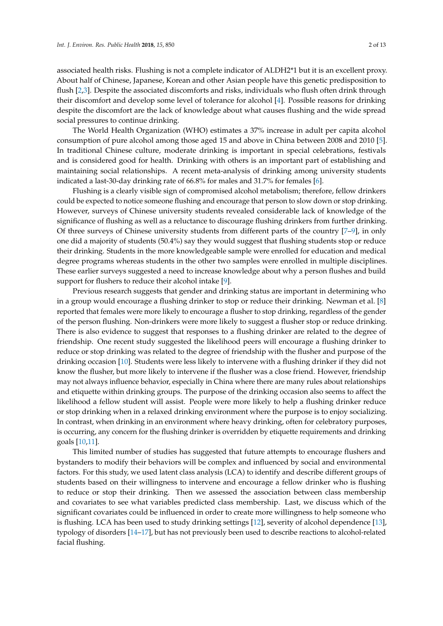associated health risks. Flushing is not a complete indicator of ALDH2\*1 but it is an excellent proxy. About half of Chinese, Japanese, Korean and other Asian people have this genetic predisposition to flush [\[2](#page-11-1)[,3\]](#page-11-2). Despite the associated discomforts and risks, individuals who flush often drink through their discomfort and develop some level of tolerance for alcohol [\[4\]](#page-11-3). Possible reasons for drinking despite the discomfort are the lack of knowledge about what causes flushing and the wide spread social pressures to continue drinking.

The World Health Organization (WHO) estimates a 37% increase in adult per capita alcohol consumption of pure alcohol among those aged 15 and above in China between 2008 and 2010 [\[5\]](#page-11-4). In traditional Chinese culture, moderate drinking is important in special celebrations, festivals and is considered good for health. Drinking with others is an important part of establishing and maintaining social relationships. A recent meta-analysis of drinking among university students indicated a last-30-day drinking rate of 66.8% for males and 31.7% for females [\[6\]](#page-11-5).

Flushing is a clearly visible sign of compromised alcohol metabolism; therefore, fellow drinkers could be expected to notice someone flushing and encourage that person to slow down or stop drinking. However, surveys of Chinese university students revealed considerable lack of knowledge of the significance of flushing as well as a reluctance to discourage flushing drinkers from further drinking. Of three surveys of Chinese university students from different parts of the country  $[7-9]$  $[7-9]$ , in only one did a majority of students (50.4%) say they would suggest that flushing students stop or reduce their drinking. Students in the more knowledgeable sample were enrolled for education and medical degree programs whereas students in the other two samples were enrolled in multiple disciplines. These earlier surveys suggested a need to increase knowledge about why a person flushes and build support for flushers to reduce their alcohol intake [\[9\]](#page-11-7).

Previous research suggests that gender and drinking status are important in determining who in a group would encourage a flushing drinker to stop or reduce their drinking. Newman et al. [\[8\]](#page-11-8) reported that females were more likely to encourage a flusher to stop drinking, regardless of the gender of the person flushing. Non-drinkers were more likely to suggest a flusher stop or reduce drinking. There is also evidence to suggest that responses to a flushing drinker are related to the degree of friendship. One recent study suggested the likelihood peers will encourage a flushing drinker to reduce or stop drinking was related to the degree of friendship with the flusher and purpose of the drinking occasion [\[10\]](#page-11-9). Students were less likely to intervene with a flushing drinker if they did not know the flusher, but more likely to intervene if the flusher was a close friend. However, friendship may not always influence behavior, especially in China where there are many rules about relationships and etiquette within drinking groups. The purpose of the drinking occasion also seems to affect the likelihood a fellow student will assist. People were more likely to help a flushing drinker reduce or stop drinking when in a relaxed drinking environment where the purpose is to enjoy socializing. In contrast, when drinking in an environment where heavy drinking, often for celebratory purposes, is occurring, any concern for the flushing drinker is overridden by etiquette requirements and drinking goals [\[10](#page-11-9)[,11\]](#page-11-10).

This limited number of studies has suggested that future attempts to encourage flushers and bystanders to modify their behaviors will be complex and influenced by social and environmental factors. For this study, we used latent class analysis (LCA) to identify and describe different groups of students based on their willingness to intervene and encourage a fellow drinker who is flushing to reduce or stop their drinking. Then we assessed the association between class membership and covariates to see what variables predicted class membership. Last, we discuss which of the significant covariates could be influenced in order to create more willingness to help someone who is flushing. LCA has been used to study drinking settings [\[12\]](#page-11-11), severity of alcohol dependence [\[13\]](#page-11-12), typology of disorders [\[14–](#page-11-13)[17\]](#page-11-14), but has not previously been used to describe reactions to alcohol-related facial flushing.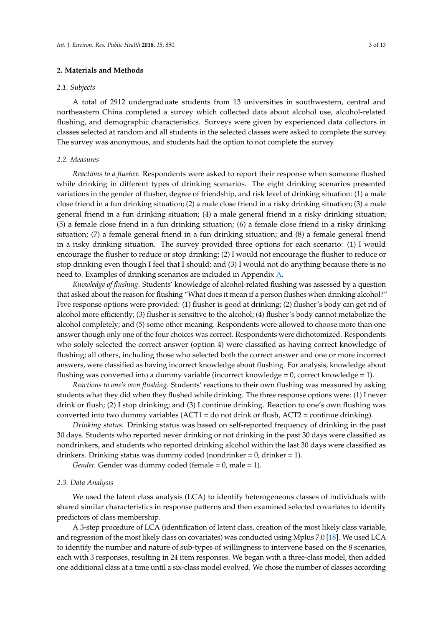#### **2. Materials and Methods**

#### *2.1. Subjects*

A total of 2912 undergraduate students from 13 universities in southwestern, central and northeastern China completed a survey which collected data about alcohol use, alcohol-related flushing, and demographic characteristics. Surveys were given by experienced data collectors in classes selected at random and all students in the selected classes were asked to complete the survey. The survey was anonymous, and students had the option to not complete the survey.

#### *2.2. Measures*

*Reactions to a flusher.* Respondents were asked to report their response when someone flushed while drinking in different types of drinking scenarios. The eight drinking scenarios presented variations in the gender of flusher, degree of friendship, and risk level of drinking situation: (1) a male close friend in a fun drinking situation; (2) a male close friend in a risky drinking situation; (3) a male general friend in a fun drinking situation; (4) a male general friend in a risky drinking situation; (5) a female close friend in a fun drinking situation; (6) a female close friend in a risky drinking situation; (7) a female general friend in a fun drinking situation; and (8) a female general friend in a risky drinking situation. The survey provided three options for each scenario: (1) I would encourage the flusher to reduce or stop drinking; (2) I would not encourage the flusher to reduce or stop drinking even though I feel that I should; and (3) I would not do anything because there is no need to. Examples of drinking scenarios are included in Appendix [A.](#page-9-0)

*Knowledge of flushing.* Students' knowledge of alcohol-related flushing was assessed by a question that asked about the reason for flushing "What does it mean if a person flushes when drinking alcohol?" Five response options were provided: (1) flusher is good at drinking; (2) flusher's body can get rid of alcohol more efficiently; (3) flusher is sensitive to the alcohol; (4) flusher's body cannot metabolize the alcohol completely; and (5) some other meaning. Respondents were allowed to choose more than one answer though only one of the four choices was correct. Respondents were dichotomized. Respondents who solely selected the correct answer (option 4) were classified as having correct knowledge of flushing; all others, including those who selected both the correct answer and one or more incorrect answers, were classified as having incorrect knowledge about flushing. For analysis, knowledge about flushing was converted into a dummy variable (incorrect knowledge = 0, correct knowledge = 1).

*Reactions to one's own flushing.* Students' reactions to their own flushing was measured by asking students what they did when they flushed while drinking. The three response options were: (1) I never drink or flush; (2) I stop drinking; and (3) I continue drinking. Reaction to one's own flushing was converted into two dummy variables (ACT1 = do not drink or flush, ACT2 = continue drinking).

*Drinking status.* Drinking status was based on self-reported frequency of drinking in the past 30 days. Students who reported never drinking or not drinking in the past 30 days were classified as nondrinkers, and students who reported drinking alcohol within the last 30 days were classified as drinkers. Drinking status was dummy coded (nondrinker = 0, drinker = 1).

*Gender.* Gender was dummy coded (female = 0, male = 1).

## *2.3. Data Analysis*

We used the latent class analysis (LCA) to identify heterogeneous classes of individuals with shared similar characteristics in response patterns and then examined selected covariates to identify predictors of class membership.

A 3-step procedure of LCA (identification of latent class, creation of the most likely class variable, and regression of the most likely class on covariates) was conducted using Mplus 7.0 [\[18\]](#page-11-15). We used LCA to identify the number and nature of sub-types of willingness to intervene based on the 8 scenarios, each with 3 responses, resulting in 24 item responses. We began with a three-class model, then added one additional class at a time until a six-class model evolved. We chose the number of classes according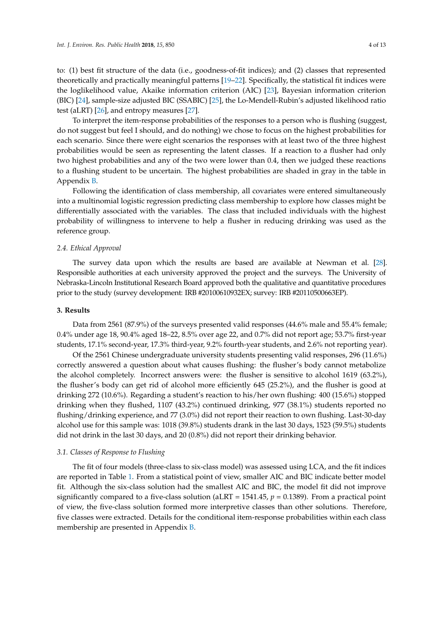to: (1) best fit structure of the data (i.e., goodness-of-fit indices); and (2) classes that represented theoretically and practically meaningful patterns [\[19–](#page-11-16)[22\]](#page-11-17). Specifically, the statistical fit indices were the loglikelihood value, Akaike information criterion (AIC) [\[23\]](#page-12-0), Bayesian information criterion (BIC) [\[24\]](#page-12-1), sample-size adjusted BIC (SSABIC) [\[25\]](#page-12-2), the Lo-Mendell-Rubin's adjusted likelihood ratio test (aLRT) [\[26\]](#page-12-3), and entropy measures [\[27\]](#page-12-4).

To interpret the item-response probabilities of the responses to a person who is flushing (suggest, do not suggest but feel I should, and do nothing) we chose to focus on the highest probabilities for each scenario. Since there were eight scenarios the responses with at least two of the three highest probabilities would be seen as representing the latent classes. If a reaction to a flusher had only two highest probabilities and any of the two were lower than 0.4, then we judged these reactions to a flushing student to be uncertain. The highest probabilities are shaded in gray in the table in Appendix [B.](#page-10-0)

Following the identification of class membership, all covariates were entered simultaneously into a multinomial logistic regression predicting class membership to explore how classes might be differentially associated with the variables. The class that included individuals with the highest probability of willingness to intervene to help a flusher in reducing drinking was used as the reference group.

#### *2.4. Ethical Approval*

The survey data upon which the results are based are available at Newman et al. [\[28\]](#page-12-5). Responsible authorities at each university approved the project and the surveys. The University of Nebraska-Lincoln Institutional Research Board approved both the qualitative and quantitative procedures prior to the study (survey development: IRB #20100610932EX; survey: IRB #20110500663EP).

#### **3. Results**

Data from 2561 (87.9%) of the surveys presented valid responses (44.6% male and 55.4% female; 0.4% under age 18, 90.4% aged 18–22, 8.5% over age 22, and 0.7% did not report age; 53.7% first-year students, 17.1% second-year, 17.3% third-year, 9.2% fourth-year students, and 2.6% not reporting year).

Of the 2561 Chinese undergraduate university students presenting valid responses, 296 (11.6%) correctly answered a question about what causes flushing: the flusher's body cannot metabolize the alcohol completely. Incorrect answers were: the flusher is sensitive to alcohol 1619 (63.2%), the flusher's body can get rid of alcohol more efficiently 645 (25.2%), and the flusher is good at drinking 272 (10.6%). Regarding a student's reaction to his/her own flushing: 400 (15.6%) stopped drinking when they flushed, 1107 (43.2%) continued drinking, 977 (38.1%) students reported no flushing/drinking experience, and 77 (3.0%) did not report their reaction to own flushing. Last-30-day alcohol use for this sample was: 1018 (39.8%) students drank in the last 30 days, 1523 (59.5%) students did not drink in the last 30 days, and 20 (0.8%) did not report their drinking behavior.

#### *3.1. Classes of Response to Flushing*

The fit of four models (three-class to six-class model) was assessed using LCA, and the fit indices are reported in Table [1.](#page-4-0) From a statistical point of view, smaller AIC and BIC indicate better model fit. Although the six-class solution had the smallest AIC and BIC, the model fit did not improve significantly compared to a five-class solution ( $aLRT = 1541.45$ ,  $p = 0.1389$ ). From a practical point of view, the five-class solution formed more interpretive classes than other solutions. Therefore, five classes were extracted. Details for the conditional item-response probabilities within each class membership are presented in Appendix [B.](#page-10-0)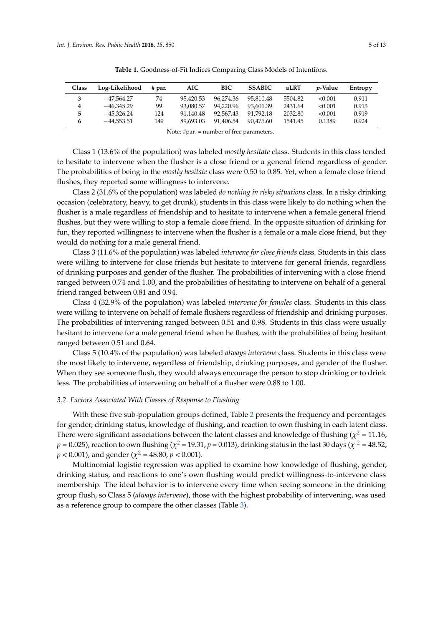<span id="page-4-0"></span>

| Class | Log-Likelihood | $#$ par. | <b>AIC</b> | BIC       | <b>SSABIC</b> | aLRT    | <i>v</i> -Value | Entropy |
|-------|----------------|----------|------------|-----------|---------------|---------|-----------------|---------|
|       | $-47.564.27$   | 74       | 95.420.53  | 96.274.36 | 95.810.48     | 5504.82 | < 0.001         | 0.911   |
| 4     | $-46.345.29$   | 99       | 93.080.57  | 94.220.96 | 93.601.39     | 2431.64 | < 0.001         | 0.913   |
| 5     | $-45.326.24$   | 124      | 91.140.48  | 92.567.43 | 91.792.18     | 2032.80 | < 0.001         | 0.919   |
| h     | $-44.553.51$   | 149      | 89.693.03  | 91.406.54 | 90.475.60     | 1541.45 | 0.1389          | 0.924   |

**Table 1.** Goodness-of-Fit Indices Comparing Class Models of Intentions.

Note: #par. = number of free parameters.

Class 1 (13.6% of the population) was labeled *mostly hesitate* class. Students in this class tended to hesitate to intervene when the flusher is a close friend or a general friend regardless of gender. The probabilities of being in the *mostly hesitate* class were 0.50 to 0.85. Yet, when a female close friend flushes, they reported some willingness to intervene.

Class 2 (31.6% of the population) was labeled *do nothing in risky situations* class. In a risky drinking occasion (celebratory, heavy, to get drunk), students in this class were likely to do nothing when the flusher is a male regardless of friendship and to hesitate to intervene when a female general friend flushes, but they were willing to stop a female close friend. In the opposite situation of drinking for fun, they reported willingness to intervene when the flusher is a female or a male close friend, but they would do nothing for a male general friend.

Class 3 (11.6% of the population) was labeled *intervene for close friends* class. Students in this class were willing to intervene for close friends but hesitate to intervene for general friends, regardless of drinking purposes and gender of the flusher. The probabilities of intervening with a close friend ranged between 0.74 and 1.00, and the probabilities of hesitating to intervene on behalf of a general friend ranged between 0.81 and 0.94.

Class 4 (32.9% of the population) was labeled *intervene for females* class. Students in this class were willing to intervene on behalf of female flushers regardless of friendship and drinking purposes. The probabilities of intervening ranged between 0.51 and 0.98. Students in this class were usually hesitant to intervene for a male general friend when he flushes, with the probabilities of being hesitant ranged between 0.51 and 0.64.

Class 5 (10.4% of the population) was labeled *always intervene* class. Students in this class were the most likely to intervene, regardless of friendship, drinking purposes, and gender of the flusher. When they see someone flush, they would always encourage the person to stop drinking or to drink less. The probabilities of intervening on behalf of a flusher were 0.88 to 1.00.

#### *3.2. Factors Associated With Classes of Response to Flushing*

With these five sub-population groups defined, Table [2](#page-5-0) presents the frequency and percentages for gender, drinking status, knowledge of flushing, and reaction to own flushing in each latent class. There were significant associations between the latent classes and knowledge of flushing ( $\chi^2$  = 11.16,  $p$  = 0.025), reaction to own flushing ( $\chi^2$  = 19.31,  $p$  = 0.013), drinking status in the last 30 days ( $\chi$  <sup>2</sup> = 48.52,  $p < 0.001$ ), and gender ( $\chi^2 = 48.80$ ,  $p < 0.001$ ).

Multinomial logistic regression was applied to examine how knowledge of flushing, gender, drinking status, and reactions to one's own flushing would predict willingness-to-intervene class membership. The ideal behavior is to intervene every time when seeing someone in the drinking group flush, so Class 5 (*always intervene*), those with the highest probability of intervening, was used as a reference group to compare the other classes (Table [3\)](#page-5-1).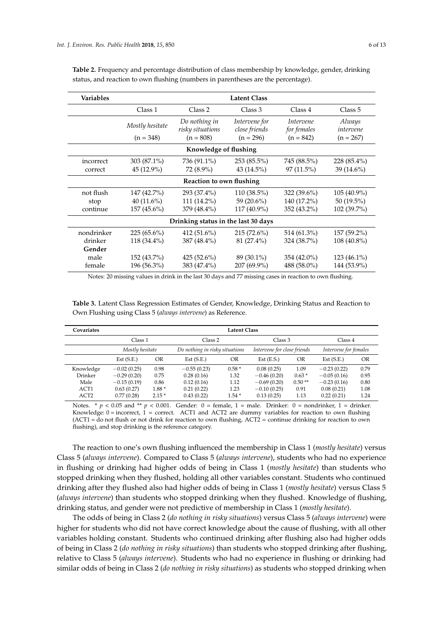| <b>Variables</b>         | <b>Latent Class</b> |                                     |                                |                          |                     |  |  |  |  |  |  |  |
|--------------------------|---------------------|-------------------------------------|--------------------------------|--------------------------|---------------------|--|--|--|--|--|--|--|
|                          | Class 1             | Class 2                             | Class 3                        | Class 4                  | Class 5             |  |  |  |  |  |  |  |
|                          | Mostly hesitate     | Do nothing in<br>risky situations   | Intervene for<br>close friends | Intervene<br>for females | Always<br>intervene |  |  |  |  |  |  |  |
|                          | $(n = 348)$         | $(n = 808)$                         | $(n = 296)$                    | $(n = 842)$              | $(n = 267)$         |  |  |  |  |  |  |  |
| Knowledge of flushing    |                     |                                     |                                |                          |                     |  |  |  |  |  |  |  |
| incorrect                | 303 (87.1%)         | 736 (91.1%)                         | 253 (85.5%)                    | 745 (88.5%)              | 228 (85.4%)         |  |  |  |  |  |  |  |
| correct                  | 45 (12.9%)          | 72 (8.9%)                           | $43(14.5\%)$                   | 97 (11.5%)               | 39 (14.6%)          |  |  |  |  |  |  |  |
| Reaction to own flushing |                     |                                     |                                |                          |                     |  |  |  |  |  |  |  |
| not flush                | 147 (42.7%)         | 293 (37.4%)                         | $110(38.5\%)$                  | $322(39.6\%)$            | 105 (40.9%)         |  |  |  |  |  |  |  |
| stop                     | 40 $(11.6\%)$       | 111 (14.2%)                         | 59 (20.6%)                     | 140 (17.2%)              | 50 (19.5%)          |  |  |  |  |  |  |  |
| continue                 | 157 (45.6%)         | 379 (48.4%)                         | 117 (40.9%)                    | 352 (43.2%)              | 102 (39.7%)         |  |  |  |  |  |  |  |
|                          |                     | Drinking status in the last 30 days |                                |                          |                     |  |  |  |  |  |  |  |
| nondrinker               | $225(65.6\%)$       | 412 $(51.6\%)$                      | $215(72.6\%)$                  | 514 (61.3%)              | 157 (59.2%)         |  |  |  |  |  |  |  |
| drinker                  | $118(34.4\%)$       | 387 (48.4%)                         | $81(27.4\%)$                   | 324 (38.7%)              | 108 (40.8%)         |  |  |  |  |  |  |  |
| Gender                   |                     |                                     |                                |                          |                     |  |  |  |  |  |  |  |
| male                     | 152 (43.7%)         | $425(52.6\%)$                       | 89 (30.1%)                     | 354 (42.0%)              | $123(46.1\%)$       |  |  |  |  |  |  |  |
| female                   | 196 (56.3%)         | 383 (47.4%)                         | 207 (69.9%)                    | 488 (58.0%)              | 144 (53.9%)         |  |  |  |  |  |  |  |

<span id="page-5-0"></span>**Table 2.** Frequency and percentage distribution of class membership by knowledge, gender, drinking status, and reaction to own flushing (numbers in parentheses are the percentage).

Notes: 20 missing values in drink in the last 30 days and 77 missing cases in reaction to own flushing.

<span id="page-5-1"></span>

| Table 3. Latent Class Regression Estimates of Gender, Knowledge, Drinking Status and Reaction to |  |
|--------------------------------------------------------------------------------------------------|--|
| Own Flushing using Class 5 (always intervene) as Reference.                                      |  |

| Covariates       | <b>Latent Class</b> |         |                                |         |                             |           |                       |      |  |
|------------------|---------------------|---------|--------------------------------|---------|-----------------------------|-----------|-----------------------|------|--|
|                  | Class 1             |         | Class 2                        |         | Class 3                     |           | Class 4               |      |  |
|                  | Mostly hesitate     |         | Do nothing in risky situations |         | Intervene for close friends |           | Intervene for females |      |  |
|                  | Est(S.E.)           | OR      | Est(S.E.)                      | OR      | $Est$ (E.S.)                | <b>OR</b> | Est(S.E.)             | OR   |  |
| Knowledge        | $-0.02(0.25)$       | 0.98    | $-0.55(0.23)$                  | $0.58*$ | 0.08(0.25)                  | 1.09      | $-0.23(0.22)$         | 0.79 |  |
| Drinker          | $-0.29(0.20)$       | 0.75    | 0.28(0.16)                     | 1.32    | $-0.46(0.20)$               | $0.63*$   | $-0.05(0.16)$         | 0.95 |  |
| Male             | $-0.15(0.19)$       | 0.86    | 0.12(0.16)                     | 1.12    | $-0.69(0.20)$               | $0.50**$  | $-0.23(0.16)$         | 0.80 |  |
| ACT1             | 0.63(0.27)          | $1.88*$ | 0.21(0.22)                     | 1.23    | $-0.10(0.25)$               | 0.91      | 0.08(0.21)            | 1.08 |  |
| ACT <sub>2</sub> | 0.77(0.28)          | $2.15*$ | 0.43(0.22)                     | $1.54*$ | 0.13(0.25)                  | 1.13      | 0.22(0.21)            | 1.24 |  |

Notes. \* *p* < 0.05 and \*\* *p* < 0.001. Gender: 0 = female, 1 = male. Drinker: 0 = nondrinker, 1 = drinker. Knowledge:  $0 =$  incorrect,  $1 =$  correct. ACT1 and ACT2 are dummy variables for reaction to own flushing  $(ACT1 = 0$  not flush or not drink for reaction to own flushing,  $ACT2 =$  continue drinking for reaction to own flushing), and stop drinking is the reference category.

The reaction to one's own flushing influenced the membership in Class 1 (*mostly hesitate*) versus Class 5 (*always intervene*). Compared to Class 5 (*always intervene*), students who had no experience in flushing or drinking had higher odds of being in Class 1 (*mostly hesitate*) than students who stopped drinking when they flushed, holding all other variables constant. Students who continued drinking after they flushed also had higher odds of being in Class 1 (*mostly hesitate*) versus Class 5 (*always intervene*) than students who stopped drinking when they flushed. Knowledge of flushing, drinking status, and gender were not predictive of membership in Class 1 (*mostly hesitate*).

The odds of being in Class 2 (*do nothing in risky situations*) versus Class 5 (*always intervene*) were higher for students who did not have correct knowledge about the cause of flushing, with all other variables holding constant. Students who continued drinking after flushing also had higher odds of being in Class 2 (*do nothing in risky situations*) than students who stopped drinking after flushing, relative to Class 5 (*always intervene*). Students who had no experience in flushing or drinking had similar odds of being in Class 2 (*do nothing in risky situations*) as students who stopped drinking when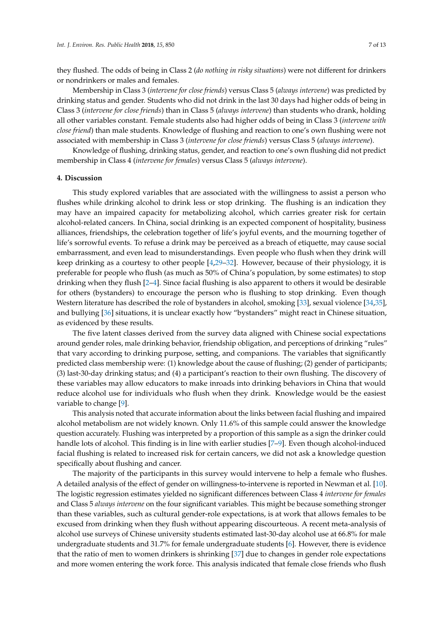they flushed. The odds of being in Class 2 (*do nothing in risky situations*) were not different for drinkers or nondrinkers or males and females.

Membership in Class 3 (*intervene for close friends*) versus Class 5 (*always intervene*) was predicted by drinking status and gender. Students who did not drink in the last 30 days had higher odds of being in Class 3 (*intervene for close friends*) than in Class 5 (*always intervene*) than students who drank, holding all other variables constant. Female students also had higher odds of being in Class 3 (*intervene with close friend*) than male students. Knowledge of flushing and reaction to one's own flushing were not associated with membership in Class 3 (*intervene for close friends*) versus Class 5 (*always intervene*).

Knowledge of flushing, drinking status, gender, and reaction to one's own flushing did not predict membership in Class 4 (*intervene for females*) versus Class 5 (*always intervene*).

#### **4. Discussion**

This study explored variables that are associated with the willingness to assist a person who flushes while drinking alcohol to drink less or stop drinking. The flushing is an indication they may have an impaired capacity for metabolizing alcohol, which carries greater risk for certain alcohol-related cancers. In China, social drinking is an expected component of hospitality, business alliances, friendships, the celebration together of life's joyful events, and the mourning together of life's sorrowful events. To refuse a drink may be perceived as a breach of etiquette, may cause social embarrassment, and even lead to misunderstandings. Even people who flush when they drink will keep drinking as a courtesy to other people [\[4,](#page-11-3)[29](#page-12-6)[–32\]](#page-12-7). However, because of their physiology, it is preferable for people who flush (as much as 50% of China's population, by some estimates) to stop drinking when they flush [\[2–](#page-11-1)[4\]](#page-11-3). Since facial flushing is also apparent to others it would be desirable for others (bystanders) to encourage the person who is flushing to stop drinking. Even though Western literature has described the role of bystanders in alcohol, smoking [\[33\]](#page-12-8), sexual violence [\[34](#page-12-9)[,35\]](#page-12-10), and bullying [\[36\]](#page-12-11) situations, it is unclear exactly how "bystanders" might react in Chinese situation, as evidenced by these results.

The five latent classes derived from the survey data aligned with Chinese social expectations around gender roles, male drinking behavior, friendship obligation, and perceptions of drinking "rules" that vary according to drinking purpose, setting, and companions. The variables that significantly predicted class membership were: (1) knowledge about the cause of flushing; (2) gender of participants; (3) last-30-day drinking status; and (4) a participant's reaction to their own flushing. The discovery of these variables may allow educators to make inroads into drinking behaviors in China that would reduce alcohol use for individuals who flush when they drink. Knowledge would be the easiest variable to change [\[9\]](#page-11-7).

This analysis noted that accurate information about the links between facial flushing and impaired alcohol metabolism are not widely known. Only 11.6% of this sample could answer the knowledge question accurately. Flushing was interpreted by a proportion of this sample as a sign the drinker could handle lots of alcohol. This finding is in line with earlier studies [\[7–](#page-11-6)[9\]](#page-11-7). Even though alcohol-induced facial flushing is related to increased risk for certain cancers, we did not ask a knowledge question specifically about flushing and cancer.

The majority of the participants in this survey would intervene to help a female who flushes. A detailed analysis of the effect of gender on willingness-to-intervene is reported in Newman et al. [\[10\]](#page-11-9). The logistic regression estimates yielded no significant differences between Class 4 *intervene for females* and Class 5 *always intervene* on the four significant variables. This might be because something stronger than these variables, such as cultural gender-role expectations, is at work that allows females to be excused from drinking when they flush without appearing discourteous. A recent meta-analysis of alcohol use surveys of Chinese university students estimated last-30-day alcohol use at 66.8% for male undergraduate students and 31.7% for female undergraduate students [\[6\]](#page-11-5). However, there is evidence that the ratio of men to women drinkers is shrinking [\[37\]](#page-12-12) due to changes in gender role expectations and more women entering the work force. This analysis indicated that female close friends who flush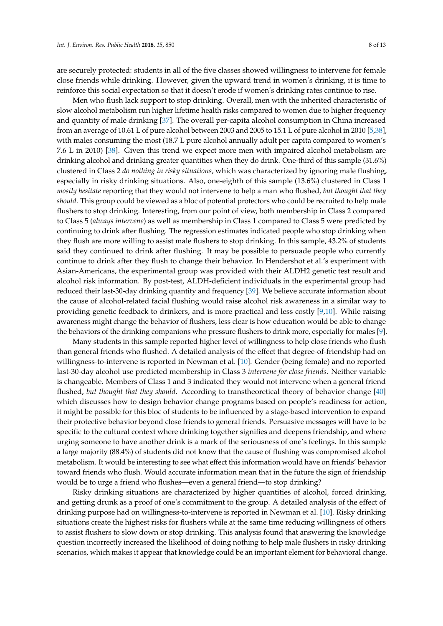are securely protected: students in all of the five classes showed willingness to intervene for female close friends while drinking. However, given the upward trend in women's drinking, it is time to reinforce this social expectation so that it doesn't erode if women's drinking rates continue to rise.

Men who flush lack support to stop drinking. Overall, men with the inherited characteristic of slow alcohol metabolism run higher lifetime health risks compared to women due to higher frequency and quantity of male drinking [\[37\]](#page-12-12). The overall per-capita alcohol consumption in China increased from an average of 10.61 L of pure alcohol between 2003 and 2005 to 15.1 L of pure alcohol in 2010 [\[5](#page-11-4)[,38\]](#page-12-13), with males consuming the most (18.7 L pure alcohol annually adult per capita compared to women's 7.6 L in 2010) [\[38\]](#page-12-13). Given this trend we expect more men with impaired alcohol metabolism are drinking alcohol and drinking greater quantities when they do drink. One-third of this sample (31.6%) clustered in Class 2 *do nothing in risky situations*, which was characterized by ignoring male flushing, especially in risky drinking situations. Also, one-eighth of this sample (13.6%) clustered in Class 1 *mostly hesitate* reporting that they would not intervene to help a man who flushed, *but thought that they should*. This group could be viewed as a bloc of potential protectors who could be recruited to help male flushers to stop drinking. Interesting, from our point of view, both membership in Class 2 compared to Class 5 (*always intervene*) as well as membership in Class 1 compared to Class 5 were predicted by continuing to drink after flushing. The regression estimates indicated people who stop drinking when they flush are more willing to assist male flushers to stop drinking. In this sample, 43.2% of students said they continued to drink after flushing. It may be possible to persuade people who currently continue to drink after they flush to change their behavior. In Hendershot et al.'s experiment with Asian-Americans, the experimental group was provided with their ALDH2 genetic test result and alcohol risk information. By post-test, ALDH-deficient individuals in the experimental group had reduced their last-30-day drinking quantity and frequency [\[39\]](#page-12-14). We believe accurate information about the cause of alcohol-related facial flushing would raise alcohol risk awareness in a similar way to providing genetic feedback to drinkers, and is more practical and less costly [\[9,](#page-11-7)[10\]](#page-11-9). While raising awareness might change the behavior of flushers, less clear is how education would be able to change the behaviors of the drinking companions who pressure flushers to drink more, especially for males [\[9\]](#page-11-7).

Many students in this sample reported higher level of willingness to help close friends who flush than general friends who flushed. A detailed analysis of the effect that degree-of-friendship had on willingness-to-intervene is reported in Newman et al. [\[10\]](#page-11-9). Gender (being female) and no reported last-30-day alcohol use predicted membership in Class 3 *intervene for close friends*. Neither variable is changeable. Members of Class 1 and 3 indicated they would not intervene when a general friend flushed, *but thought that they should*. According to transtheoretical theory of behavior change [\[40\]](#page-12-15) which discusses how to design behavior change programs based on people's readiness for action, it might be possible for this bloc of students to be influenced by a stage-based intervention to expand their protective behavior beyond close friends to general friends. Persuasive messages will have to be specific to the cultural context where drinking together signifies and deepens friendship, and where urging someone to have another drink is a mark of the seriousness of one's feelings. In this sample a large majority (88.4%) of students did not know that the cause of flushing was compromised alcohol metabolism. It would be interesting to see what effect this information would have on friends' behavior toward friends who flush. Would accurate information mean that in the future the sign of friendship would be to urge a friend who flushes—even a general friend—to stop drinking?

Risky drinking situations are characterized by higher quantities of alcohol, forced drinking, and getting drunk as a proof of one's commitment to the group. A detailed analysis of the effect of drinking purpose had on willingness-to-intervene is reported in Newman et al. [\[10\]](#page-11-9). Risky drinking situations create the highest risks for flushers while at the same time reducing willingness of others to assist flushers to slow down or stop drinking. This analysis found that answering the knowledge question incorrectly increased the likelihood of doing nothing to help male flushers in risky drinking scenarios, which makes it appear that knowledge could be an important element for behavioral change.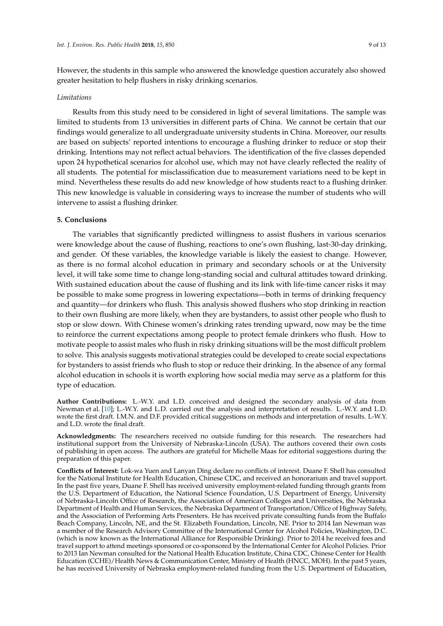However, the students in this sample who answered the knowledge question accurately also showed greater hesitation to help flushers in risky drinking scenarios.

#### *Limitations*

Results from this study need to be considered in light of several limitations. The sample was limited to students from 13 universities in different parts of China. We cannot be certain that our findings would generalize to all undergraduate university students in China. Moreover, our results are based on subjects' reported intentions to encourage a flushing drinker to reduce or stop their drinking. Intentions may not reflect actual behaviors. The identification of the five classes depended upon 24 hypothetical scenarios for alcohol use, which may not have clearly reflected the reality of all students. The potential for misclassification due to measurement variations need to be kept in mind. Nevertheless these results do add new knowledge of how students react to a flushing drinker. This new knowledge is valuable in considering ways to increase the number of students who will intervene to assist a flushing drinker.

### **5. Conclusions**

The variables that significantly predicted willingness to assist flushers in various scenarios were knowledge about the cause of flushing, reactions to one's own flushing, last-30-day drinking, and gender. Of these variables, the knowledge variable is likely the easiest to change. However, as there is no formal alcohol education in primary and secondary schools or at the University level, it will take some time to change long-standing social and cultural attitudes toward drinking. With sustained education about the cause of flushing and its link with life-time cancer risks it may be possible to make some progress in lowering expectations—both in terms of drinking frequency and quantity—for drinkers who flush. This analysis showed flushers who stop drinking in reaction to their own flushing are more likely, when they are bystanders, to assist other people who flush to stop or slow down. With Chinese women's drinking rates trending upward, now may be the time to reinforce the current expectations among people to protect female drinkers who flush. How to motivate people to assist males who flush in risky drinking situations will be the most difficult problem to solve. This analysis suggests motivational strategies could be developed to create social expectations for bystanders to assist friends who flush to stop or reduce their drinking. In the absence of any formal alcohol education in schools it is worth exploring how social media may serve as a platform for this type of education.

**Author Contributions:** L.-W.Y. and L.D. conceived and designed the secondary analysis of data from Newman et al. [\[10\]](#page-11-9); L.-W.Y. and L.D. carried out the analysis and interpretation of results. L.-W.Y. and L.D. wrote the first draft. I.M.N. and D.F. provided critical suggestions on methods and interpretation of results. L-W.Y. and L.D. wrote the final draft.

**Acknowledgments:** The researchers received no outside funding for this research. The researchers had institutional support from the University of Nebraska-Lincoln (USA). The authors covered their own costs of publishing in open access. The authors are grateful for Michelle Maas for editorial suggestions during the preparation of this paper.

**Conflicts of Interest:** Lok-wa Yuen and Lanyan Ding declare no conflicts of interest. Duane F. Shell has consulted for the National Institute for Health Education, Chinese CDC, and received an honorarium and travel support. In the past five years, Duane F. Shell has received university employment-related funding through grants from the U.S. Department of Education, the National Science Foundation, U.S. Department of Energy, University of Nebraska-Lincoln Office of Research, the Association of American Colleges and Universities, the Nebraska Department of Health and Human Services, the Nebraska Department of Transportation/Office of Highway Safety, and the Association of Performing Arts Presenters. He has received private consulting funds from the Buffalo Beach Company, Lincoln, NE, and the St. Elizabeth Foundation, Lincoln, NE. Prior to 2014 Ian Newman was a member of the Research Advisory Committee of the International Center for Alcohol Policies, Washington, D.C. (which is now known as the International Alliance for Responsible Drinking). Prior to 2014 he received fees and travel support to attend meetings sponsored or co-sponsored by the International Center for Alcohol Policies. Prior to 2013 Ian Newman consulted for the National Health Education Institute, China CDC, Chinese Center for Health Education (CCHE)/Health News & Communication Center, Ministry of Health (HNCC, MOH). In the past 5 years, he has received University of Nebraska employment-related funding from the U.S. Department of Education,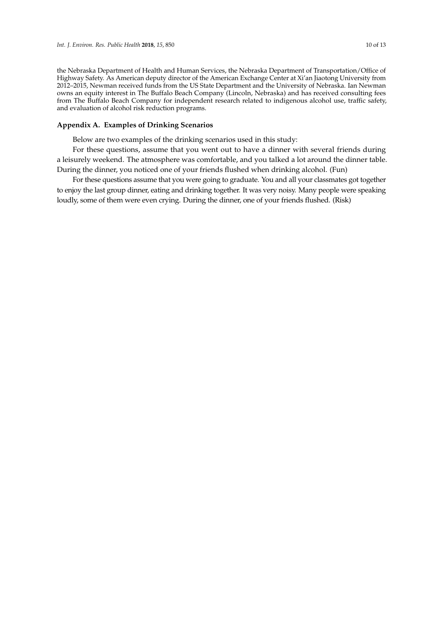the Nebraska Department of Health and Human Services, the Nebraska Department of Transportation/Office of Highway Safety. As American deputy director of the American Exchange Center at Xi'an Jiaotong University from 2012–2015, Newman received funds from the US State Department and the University of Nebraska. Ian Newman owns an equity interest in The Buffalo Beach Company (Lincoln, Nebraska) and has received consulting fees from The Buffalo Beach Company for independent research related to indigenous alcohol use, traffic safety, and evaluation of alcohol risk reduction programs.

## <span id="page-9-0"></span>**Appendix A. Examples of Drinking Scenarios**

Below are two examples of the drinking scenarios used in this study:

For these questions, assume that you went out to have a dinner with several friends during a leisurely weekend. The atmosphere was comfortable, and you talked a lot around the dinner table. During the dinner, you noticed one of your friends flushed when drinking alcohol. (Fun)

For these questions assume that you were going to graduate. You and all your classmates got together to enjoy the last group dinner, eating and drinking together. It was very noisy. Many people were speaking loudly, some of them were even crying. During the dinner, one of your friends flushed. (Risk)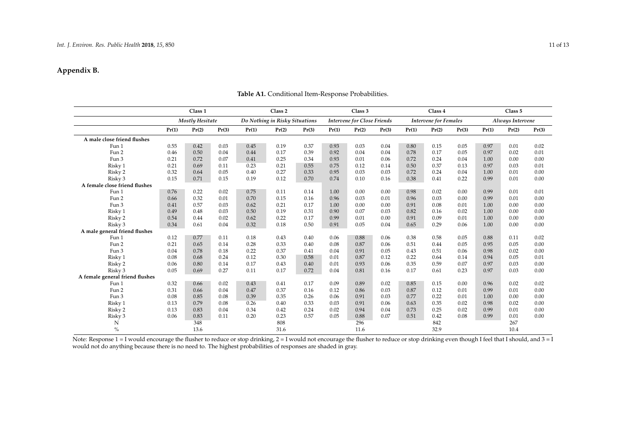# **Appendix B.**

|                                 | Class 1                |       | Class 2                        |       | Class 3                            |       | Class 4                      |       |       | Class 5          |       |       |       |       |       |
|---------------------------------|------------------------|-------|--------------------------------|-------|------------------------------------|-------|------------------------------|-------|-------|------------------|-------|-------|-------|-------|-------|
|                                 | <b>Mostly Hesitate</b> |       | Do Nothing in Risky Situations |       | <b>Intervene for Close Friends</b> |       | <b>Intervene for Females</b> |       |       | Always Intervene |       |       |       |       |       |
|                                 | Pr(1)                  | Pr(2) | Pr(3)                          | Pr(1) | Pr(2)                              | Pr(3) | Pr(1)                        | Pr(2) | Pr(3) | Pr(1)            | Pr(2) | Pr(3) | Pr(1) | Pr(2) | Pr(3) |
| A male close friend flushes     |                        |       |                                |       |                                    |       |                              |       |       |                  |       |       |       |       |       |
| Fun 1                           | 0.55                   | 0.42  | 0.03                           | 0.45  | 0.19                               | 0.37  | 0.93                         | 0.03  | 0.04  | 0.80             | 0.15  | 0.05  | 0.97  | 0.01  | 0.02  |
| Fun 2                           | 0.46                   | 0.50  | 0.04                           | 0.44  | 0.17                               | 0.39  | 0.92                         | 0.04  | 0.04  | 0.78             | 0.17  | 0.05  | 0.97  | 0.02  | 0.01  |
| Fun 3                           | 0.21                   | 0.72  | 0.07                           | 0.41  | 0.25                               | 0.34  | 0.93                         | 0.01  | 0.06  | 0.72             | 0.24  | 0.04  | 1.00  | 0.00  | 0.00  |
| Risky 1                         | 0.21                   | 0.69  | 0.11                           | 0.23  | 0.21                               | 0.55  | 0.75                         | 0.12  | 0.14  | 0.50             | 0.37  | 0.13  | 0.97  | 0.03  | 0.01  |
| Risky 2                         | 0.32                   | 0.64  | 0.05                           | 0.40  | 0.27                               | 0.33  | 0.95                         | 0.03  | 0.03  | 0.72             | 0.24  | 0.04  | 1.00  | 0.01  | 0.00  |
| Risky 3                         | 0.15                   | 0.71  | 0.15                           | 0.19  | 0.12                               | 0.70  | 0.74                         | 0.10  | 0.16  | 0.38             | 0.41  | 0.22  | 0.99  | 0.01  | 0.00  |
| A female close friend flushes   |                        |       |                                |       |                                    |       |                              |       |       |                  |       |       |       |       |       |
| Fun 1                           | 0.76                   | 0.22  | 0.02                           | 0.75  | 0.11                               | 0.14  | 1.00                         | 0.00  | 0.00  | 0.98             | 0.02  | 0.00  | 0.99  | 0.01  | 0.01  |
| Fun 2                           | 0.66                   | 0.32  | 0.01                           | 0.70  | 0.15                               | 0.16  | 0.96                         | 0.03  | 0.01  | 0.96             | 0.03  | 0.00  | 0.99  | 0.01  | 0.00  |
| Fun 3                           | 0.41                   | 0.57  | 0.03                           | 0.62  | 0.21                               | 0.17  | 1.00                         | 0.00  | 0.00  | 0.91             | 0.08  | 0.01  | 1.00  | 0.00  | 0.00  |
| Risky 1                         | 0.49                   | 0.48  | 0.03                           | 0.50  | 0.19                               | 0.31  | 0.90                         | 0.07  | 0.03  | 0.82             | 0.16  | 0.02  | 1.00  | 0.00  | 0.00  |
| Risky 2                         | 0.54                   | 0.44  | 0.02                           | 0.62  | 0.22                               | 0.17  | 0.99                         | 0.01  | 0.00  | 0.91             | 0.09  | 0.01  | 1.00  | 0.00  | 0.00  |
| Risky 3                         | 0.34                   | 0.61  | 0.04                           | 0.32  | 0.18                               | 0.50  | 0.91                         | 0.05  | 0.04  | 0.65             | 0.29  | 0.06  | 1.00  | 0.00  | 0.00  |
| A male general friend flushes   |                        |       |                                |       |                                    |       |                              |       |       |                  |       |       |       |       |       |
| Fun 1                           | 0.12                   | 0.77  | 0.11                           | 0.18  | 0.43                               | 0.40  | 0.06                         | 0.88  | 0.06  | 0.38             | 0.58  | 0.05  | 0.88  | 0.11  | 0.02  |
| Fun 2                           | 0.21                   | 0.65  | 0.14                           | 0.28  | 0.33                               | 0.40  | 0.08                         | 0.87  | 0.06  | 0.51             | 0.44  | 0.05  | 0.95  | 0.05  | 0.00  |
| Fun 3                           | 0.04                   | 0.78  | 0.18                           | 0.22  | 0.37                               | 0.41  | 0.04                         | 0.91  | 0.05  | 0.43             | 0.51  | 0.06  | 0.98  | 0.02  | 0.00  |
| Risky 1                         | 0.08                   | 0.68  | 0.24                           | 0.12  | 0.30                               | 0.58  | 0.01                         | 0.87  | 0.12  | 0.22             | 0.64  | 0.14  | 0.94  | 0.05  | 0.01  |
| Risky 2                         | 0.06                   | 0.80  | 0.14                           | 0.17  | 0.43                               | 0.40  | 0.01                         | 0.93  | 0.06  | 0.35             | 0.59  | 0.07  | 0.97  | 0.03  | 0.00  |
| Risky 3                         | 0.05                   | 0.69  | 0.27                           | 0.11  | 0.17                               | 0.72  | 0.04                         | 0.81  | 0.16  | 0.17             | 0.61  | 0.23  | 0.97  | 0.03  | 0.00  |
| A female general friend flushes |                        |       |                                |       |                                    |       |                              |       |       |                  |       |       |       |       |       |
| Fun 1                           | 0.32                   | 0.66  | 0.02                           | 0.43  | 0.41                               | 0.17  | 0.09                         | 0.89  | 0.02  | 0.85             | 0.15  | 0.00  | 0.96  | 0.02  | 0.02  |
| Fun 2                           | 0.31                   | 0.66  | 0.04                           | 0.47  | 0.37                               | 0.16  | 0.12                         | 0.86  | 0.03  | 0.87             | 0.12  | 0.01  | 0.99  | 0.01  | 0.00  |
| Fun 3                           | 0.08                   | 0.85  | 0.08                           | 0.39  | 0.35                               | 0.26  | 0.06                         | 0.91  | 0.03  | 0.77             | 0.22  | 0.01  | 1.00  | 0.00  | 0.00  |
| Risky 1                         | 0.13                   | 0.79  | 0.08                           | 0.26  | 0.40                               | 0.33  | 0.03                         | 0.91  | 0.06  | 0.63             | 0.35  | 0.02  | 0.98  | 0.02  | 0.00  |
| Risky 2                         | 0.13                   | 0.83  | 0.04                           | 0.34  | 0.42                               | 0.24  | 0.02                         | 0.94  | 0.04  | 0.73             | 0.25  | 0.02  | 0.99  | 0.01  | 0.00  |
| Risky 3                         | 0.06                   | 0.83  | 0.11                           | 0.20  | 0.23                               | 0.57  | 0.05                         | 0.88  | 0.07  | 0.51             | 0.42  | 0.08  | 0.99  | 0.01  | 0.00  |
| N                               |                        | 348   |                                |       | 808                                |       |                              | 296   |       | 842              |       |       | 267   |       |       |
| $\%$<br>13.6                    |                        | 31.6  |                                |       | 11.6                               |       |                              | 32.9  |       |                  | 10.4  |       |       |       |       |

# **Table A1.** Conditional Item-Response Probabilities.

<span id="page-10-0"></span>Note: Response 1 = I would encourage the flusher to reduce or stop drinking, 2 = I would not encourage the flusher to reduce or stop drinking even though I feel that I should, and 3 = I would not do anything because there is no need to. The highest probabilities of responses are shaded in gray.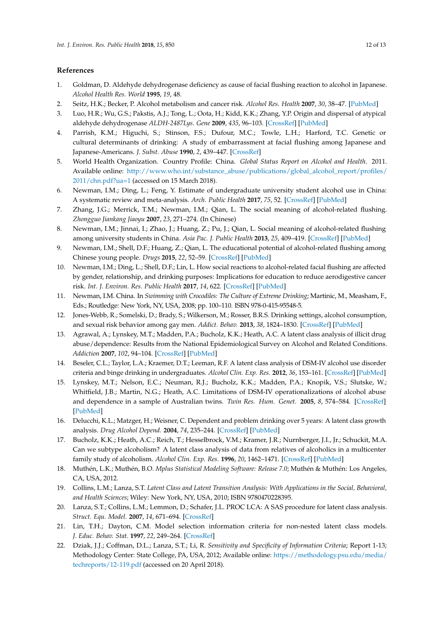#### **References**

- <span id="page-11-0"></span>1. Goldman, D. Aldehyde dehydrogenase deficiency as cause of facial flushing reaction to alcohol in Japanese. *Alcohol Health Res. World* **1995**, *19*, 48.
- <span id="page-11-1"></span>2. Seitz, H.K.; Becker, P. Alcohol metabolism and cancer risk. *Alcohol Res. Health* **2007**, *30*, 38–47. [\[PubMed\]](http://www.ncbi.nlm.nih.gov/pubmed/17718399)
- <span id="page-11-2"></span>3. Luo, H.R.; Wu, G.S.; Pakstis, A.J.; Tong, L.; Oota, H.; Kidd, K.K.; Zhang, Y.P. Origin and dispersal of atypical aldehyde dehydrogenase *ALDH-2487Lys*. *Gene* **2009**, *435*, 96–103. [\[CrossRef\]](http://dx.doi.org/10.1016/j.gene.2008.12.021) [\[PubMed\]](http://www.ncbi.nlm.nih.gov/pubmed/19393179)
- <span id="page-11-3"></span>4. Parrish, K.M.; Higuchi, S.; Stinson, F.S.; Dufour, M.C.; Towle, L.H.; Harford, T.C. Genetic or cultural determinants of drinking: A study of embarrassment at facial flushing among Japanese and Japanese-Americans. *J. Subst. Abuse* **1990**, *2*, 439–447. [\[CrossRef\]](http://dx.doi.org/10.1016/S0899-3289(12)80004-6)
- <span id="page-11-4"></span>5. World Health Organization. Country Profile: China. *Global Status Report on Alcohol and Health*. 2011. Available online: [http://www.who.int/substance\\_abuse/publications/global\\_alcohol\\_report/profiles/](http://www.who.int/substance_abuse/publications/global_alcohol_report/profiles/2011/chn.pdf?ua=1) [2011/chn.pdf?ua=1](http://www.who.int/substance_abuse/publications/global_alcohol_report/profiles/2011/chn.pdf?ua=1) (accessed on 15 March 2018).
- <span id="page-11-5"></span>6. Newman, I.M.; Ding, L.; Feng, Y. Estimate of undergraduate university student alcohol use in China: A systematic review and meta-analysis. *Arch. Public Health* **2017**, *75*, 52. [\[CrossRef\]](http://dx.doi.org/10.1186/s13690-017-0220-x) [\[PubMed\]](http://www.ncbi.nlm.nih.gov/pubmed/29238573)
- <span id="page-11-6"></span>7. Zhang, J.G.; Merrick, T.M.; Newman, I.M.; Qian, L. The social meaning of alcohol-related flushing. *Zhongguo Jiankang Jiaoyu* **2007**, *23*, 271–274. (In Chinese)
- <span id="page-11-8"></span>8. Newman, I.M.; Jinnai, I.; Zhao, J.; Huang, Z.; Pu, J.; Qian, L. Social meaning of alcohol-related flushing among university students in China. *Asia Pac. J. Public Health* **2013**, *25*, 409–419. [\[CrossRef\]](http://dx.doi.org/10.1177/1010539511420702) [\[PubMed\]](http://www.ncbi.nlm.nih.gov/pubmed/21914706)
- <span id="page-11-7"></span>9. Newman, I.M.; Shell, D.F.; Huang, Z.; Qian, L. The educational potential of alcohol-related flushing among Chinese young people. *Drugs* **2015**, *22*, 52–59. [\[CrossRef\]](http://dx.doi.org/10.3109/09687637.2014.979764) [\[PubMed\]](http://www.ncbi.nlm.nih.gov/pubmed/25983401)
- <span id="page-11-9"></span>10. Newman, I.M.; Ding, L.; Shell, D.F.; Lin, L. How social reactions to alcohol-related facial flushing are affected by gender, relationship, and drinking purposes: Implications for education to reduce aerodigestive cancer risk. *Int. J. Environ. Res. Public Health* **2017**, *14*, 622. [\[CrossRef\]](http://dx.doi.org/10.3390/ijerph14060622) [\[PubMed\]](http://www.ncbi.nlm.nih.gov/pubmed/28598388)
- <span id="page-11-10"></span>11. Newman, I.M. China. In *Swimming with Crocodiles: The Culture of Extreme Drinking*; Martinic, M., Measham, F., Eds.; Routledge: New York, NY, USA, 2008; pp. 100–110. ISBN 978-0-415-95548-5.
- <span id="page-11-11"></span>12. Jones-Webb, R.; Somelski, D.; Brady, S.; Wilkerson, M.; Rosser, B.R.S. Drinking settings, alcohol consumption, and sexual risk behavior among gay men. *Addict. Behav.* **2013**, *38*, 1824–1830. [\[CrossRef\]](http://dx.doi.org/10.1016/j.addbeh.2012.11.011) [\[PubMed\]](http://www.ncbi.nlm.nih.gov/pubmed/23261495)
- <span id="page-11-12"></span>13. Agrawal, A.; Lynskey, M.T.; Madden, P.A.; Bucholz, K.K.; Heath, A.C. A latent class analysis of illicit drug abuse/dependence: Results from the National Epidemiological Survey on Alcohol and Related Conditions. *Addiction* **2007**, *102*, 94–104. [\[CrossRef\]](http://dx.doi.org/10.1111/j.1360-0443.2006.01630.x) [\[PubMed\]](http://www.ncbi.nlm.nih.gov/pubmed/17207127)
- <span id="page-11-13"></span>14. Beseler, C.L.; Taylor, L.A.; Kraemer, D.T.; Leeman, R.F. A latent class analysis of DSM-IV alcohol use disorder criteria and binge drinking in undergraduates. *Alcohol Clin. Exp. Res.* **2012**, *36*, 153–161. [\[CrossRef\]](http://dx.doi.org/10.1111/j.1530-0277.2011.01595.x) [\[PubMed\]](http://www.ncbi.nlm.nih.gov/pubmed/22004067)
- 15. Lynskey, M.T.; Nelson, E.C.; Neuman, R.J.; Bucholz, K.K.; Madden, P.A.; Knopik, V.S.; Slutske, W.; Whitfield, J.B.; Martin, N.G.; Heath, A.C. Limitations of DSM-IV operationalizations of alcohol abuse and dependence in a sample of Australian twins. *Twin Res. Hum. Genet.* **2005**, *8*, 574–584. [\[CrossRef\]](http://dx.doi.org/10.1375/twin.8.6.574) [\[PubMed\]](http://www.ncbi.nlm.nih.gov/pubmed/16354499)
- 16. Delucchi, K.L.; Matzger, H.; Weisner, C. Dependent and problem drinking over 5 years: A latent class growth analysis. *Drug Alcohol Depend.* **2004**, *74*, 235–244. [\[CrossRef\]](http://dx.doi.org/10.1016/j.drugalcdep.2003.12.014) [\[PubMed\]](http://www.ncbi.nlm.nih.gov/pubmed/15194201)
- <span id="page-11-14"></span>17. Bucholz, K.K.; Heath, A.C.; Reich, T.; Hesselbrock, V.M.; Kramer, J.R.; Nurnberger, J.I., Jr.; Schuckit, M.A. Can we subtype alcoholism? A latent class analysis of data from relatives of alcoholics in a multicenter family study of alcoholism. *Alcohol Clin. Exp. Res.* **1996**, *20*, 1462–1471. [\[CrossRef\]](http://dx.doi.org/10.1111/j.1530-0277.1996.tb01150.x) [\[PubMed\]](http://www.ncbi.nlm.nih.gov/pubmed/8947326)
- <span id="page-11-15"></span>18. Muthén, L.K.; Muthén, B.O. *Mplus Statistical Modeling Software: Release 7.0*; Muthén & Muthén: Los Angeles, CA, USA, 2012.
- <span id="page-11-16"></span>19. Collins, L.M.; Lanza, S.T. *Latent Class and Latent Transition Analysis: With Applications in the Social, Behavioral, and Health Sciences*; Wiley: New York, NY, USA, 2010; ISBN 9780470228395.
- 20. Lanza, S.T.; Collins, L.M.; Lemmon, D.; Schafer, J.L. PROC LCA: A SAS procedure for latent class analysis. *Struct. Equ. Model.* **2007**, *14*, 671–694. [\[CrossRef\]](http://dx.doi.org/10.1080/10705510701575602)
- 21. Lin, T.H.; Dayton, C.M. Model selection information criteria for non-nested latent class models. *J. Educ. Behav. Stat.* **1997**, *22*, 249–264. [\[CrossRef\]](http://dx.doi.org/10.3102/10769986022003249)
- <span id="page-11-17"></span>22. Dziak, J.J.; Coffman, D.L.; Lanza, S.T.; Li, R. *Sensitivity and Specificity of Information Criteria*; Report 1-13; Methodology Center: State College, PA, USA, 2012; Available online: [https://methodology.psu.edu/media/](https://methodology.psu.edu/media/techreports/12-119.pdf) [techreports/12-119.pdf](https://methodology.psu.edu/media/techreports/12-119.pdf) (accessed on 20 April 2018).